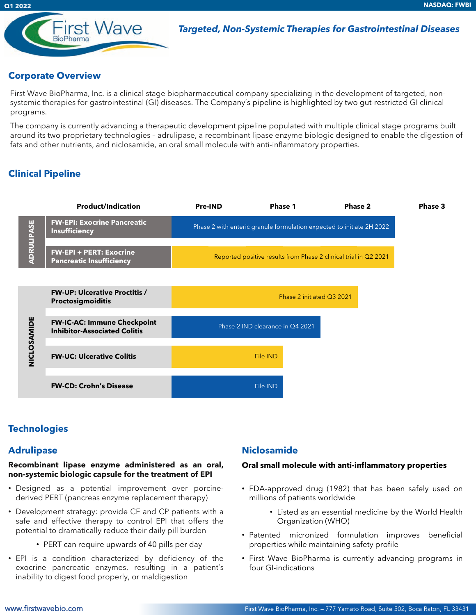

First Wave

#### **Corporate Overview**

**Q1 2022**

First Wave BioPharma, Inc. is a clinical stage biopharmaceutical company specializing in the development of targeted, nonsystemic therapies for gastrointestinal (GI) diseases. The Company's pipeline is highlighted by two gut-restricted GI clinical programs.

The company is currently advancing a therapeutic development pipeline populated with multiple clinical stage programs built around its two proprietary technologies – adrulipase, a recombinant lipase enzyme biologic designed to enable the digestion of fats and other nutrients, and niclosamide, an oral small molecule with anti-inflammatory properties.

# **Clinical Pipeline**



#### **Technologies**

#### **Adrulipase**

#### **Recombinant lipase enzyme administered as an oral, non-systemic biologic capsule for the treatment of EPI**

- Designed as a potential improvement over porcinederived PERT (pancreas enzyme replacement therapy)
- Development strategy: provide CF and CP patients with a safe and effective therapy to control EPI that offers the potential to dramatically reduce their daily pill burden
	- PERT can require upwards of 40 pills per day
- EPI is a condition characterized by deficiency of the exocrine pancreatic enzymes, resulting in a patient's inability to digest food properly, or maldigestion

#### **Niclosamide**

#### **Oral small molecule with anti-inflammatory properties**

- FDA-approved drug (1982) that has been safely used on millions of patients worldwide
	- Listed as an essential medicine by the World Health Organization (WHO)
- Patented micronized formulation improves beneficial properties while maintaining safety profile
- First Wave BioPharma is currently advancing programs in four GI-indications